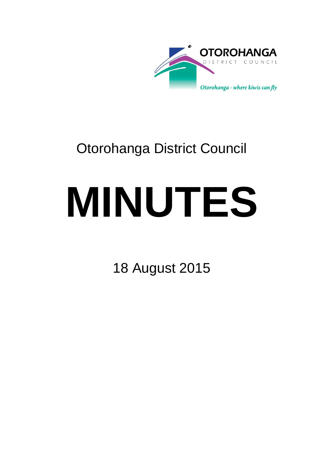

# Otorohanga District Council

# **MINUTES**

18 August 2015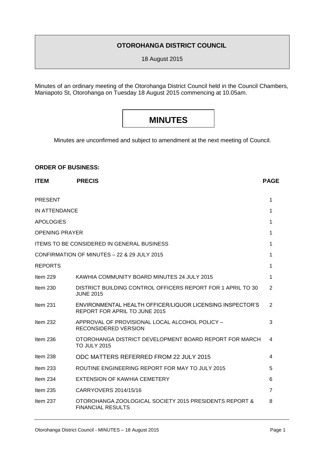### **OTOROHANGA DISTRICT COUNCIL**

18 August 2015

Minutes of an ordinary meeting of the Otorohanga District Council held in the Council Chambers, Maniapoto St, Otorohanga on Tuesday 18 August 2015 commencing at 10.05am.

## **MINUTES**

Minutes are unconfirmed and subject to amendment at the next meeting of Council.

#### **ORDER OF BUSINESS:**

| <b>ITEM</b>           | <b>PRECIS</b>                                                                              | <b>PAGE</b>    |
|-----------------------|--------------------------------------------------------------------------------------------|----------------|
| <b>PRESENT</b>        |                                                                                            | 1              |
| IN ATTENDANCE         |                                                                                            | 1              |
| <b>APOLOGIES</b>      |                                                                                            | 1              |
| <b>OPENING PRAYER</b> |                                                                                            | 1              |
|                       | <b>ITEMS TO BE CONSIDERED IN GENERAL BUSINESS</b>                                          | 1              |
|                       | CONFIRMATION OF MINUTES - 22 & 29 JULY 2015                                                | 1              |
| <b>REPORTS</b>        |                                                                                            | 1              |
| Item 229              | KAWHIA COMMUNITY BOARD MINUTES 24 JULY 2015                                                | 1              |
| Item 230              | DISTRICT BUILDING CONTROL OFFICERS REPORT FOR 1 APRIL TO 30<br><b>JUNE 2015</b>            | $\overline{2}$ |
| Item $231$            | ENVIRONMENTAL HEALTH OFFICER/LIQUOR LICENSING INSPECTOR'S<br>REPORT FOR APRIL TO JUNE 2015 | $\overline{2}$ |
| Item $232$            | APPROVAL OF PROVISIONAL LOCAL ALCOHOL POLICY -<br><b>RECONSIDERED VERSION</b>              | 3              |
| Item $236$            | OTOROHANGA DISTRICT DEVELOPMENT BOARD REPORT FOR MARCH<br><b>TO JULY 2015</b>              | 4              |
| Item 238              | ODC MATTERS REFERRED FROM 22 JULY 2015                                                     | 4              |
| Item $233$            | ROUTINE ENGINEERING REPORT FOR MAY TO JULY 2015                                            | 5              |
| Item 234              | EXTENSION OF KAWHIA CEMETERY                                                               | 6              |
| Item $235$            | CARRYOVERS 2014/15/16                                                                      | $\overline{7}$ |
| Item 237              | OTOROHANGA ZOOLOGICAL SOCIETY 2015 PRESIDENTS REPORT &<br><b>FINANCIAL RESULTS</b>         | 8              |
|                       |                                                                                            |                |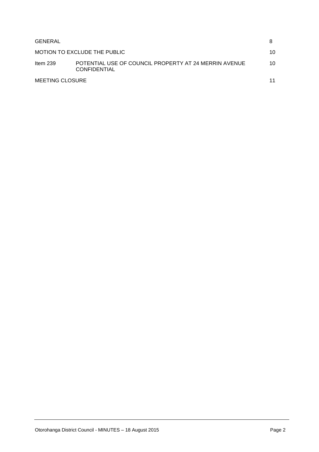| GENERAL         |                                                                              |    |
|-----------------|------------------------------------------------------------------------------|----|
|                 | MOTION TO EXCLUDE THE PUBLIC                                                 | 10 |
| Item $239$      | POTENTIAL USE OF COUNCIL PROPERTY AT 24 MERRIN AVENUE<br><b>CONFIDENTIAL</b> | 10 |
| MEETING CLOSURE |                                                                              |    |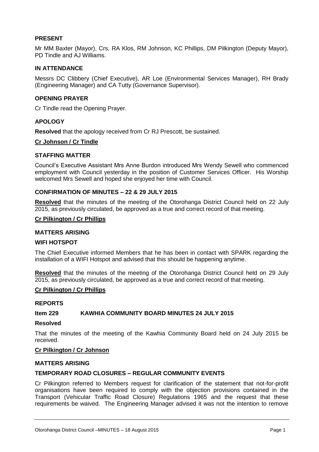#### **PRESENT**

Mr MM Baxter (Mayor), Crs, RA Klos, RM Johnson, KC Phillips, DM Pilkington (Deputy Mayor), PD Tindle and AJ Williams.

#### **IN ATTENDANCE**

Messrs DC Clibbery (Chief Executive), AR Loe (Environmental Services Manager), RH Brady (Engineering Manager) and CA Tutty (Governance Supervisor).

#### **OPENING PRAYER**

Cr Tindle read the Opening Prayer.

#### **APOLOGY**

**Resolved** that the apology received from Cr RJ Prescott, be sustained.

#### **Cr Johnson / Cr Tindle**

#### **STAFFING MATTER**

Council's Executive Assistant Mrs Anne Burdon introduced Mrs Wendy Sewell who commenced employment with Council yesterday in the position of Customer Services Officer. His Worship welcomed Mrs Sewell and hoped she enjoyed her time with Council.

#### **CONFIRMATION OF MINUTES – 22 & 29 JULY 2015**

**Resolved** that the minutes of the meeting of the Otorohanga District Council held on 22 July 2015, as previously circulated, be approved as a true and correct record of that meeting.

#### **Cr Pilkington / Cr Phillips**

#### **MATTERS ARISING**

#### **WIFI HOTSPOT**

The Chief Executive informed Members that he has been in contact with SPARK regarding the installation of a WIFI Hotspot and advised that this should be happening anytime.

**Resolved** that the minutes of the meeting of the Otorohanga District Council held on 29 July 2015, as previously circulated, be approved as a true and correct record of that meeting.

#### **Cr Pilkington / Cr Phillips**

#### **REPORTS**

#### **Item 229 KAWHIA COMMUNITY BOARD MINUTES 24 JULY 2015**

#### **Resolved**

That the minutes of the meeting of the Kawhia Community Board held on 24 July 2015 be received.

#### **Cr Pilkington / Cr Johnson**

#### **MATTERS ARISING**

#### **TEMPORARY ROAD CLOSURES – REGULAR COMMUNITY EVENTS**

Cr Pilkington referred to Members request for clarification of the statement that not-for-profit organisations have been required to comply with the objection provisions contained in the Transport (Vehicular Traffic Road Closure) Regulations 1965 and the request that these requirements be waived. The Engineering Manager advised it was not the intention to remove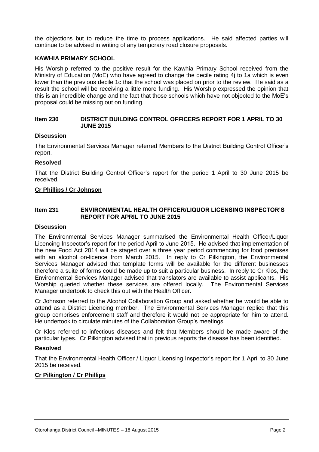the objections but to reduce the time to process applications. He said affected parties will continue to be advised in writing of any temporary road closure proposals.

#### **KAWHIA PRIMARY SCHOOL**

His Worship referred to the positive result for the Kawhia Primary School received from the Ministry of Education (MoE) who have agreed to change the decile rating 4j to 1a which is even lower than the previous decile 1c that the school was placed on prior to the review. He said as a result the school will be receiving a little more funding. His Worship expressed the opinion that this is an incredible change and the fact that those schools which have not objected to the MoE's proposal could be missing out on funding.

#### **Item 230 DISTRICT BUILDING CONTROL OFFICERS REPORT FOR 1 APRIL TO 30 JUNE 2015**

#### **Discussion**

The Environmental Services Manager referred Members to the District Building Control Officer's report.

#### **Resolved**

That the District Building Control Officer's report for the period 1 April to 30 June 2015 be received.

#### **Cr Phillips / Cr Johnson**

#### **Item 231 ENVIRONMENTAL HEALTH OFFICER/LIQUOR LICENSING INSPECTOR'S REPORT FOR APRIL TO JUNE 2015**

#### **Discussion**

The Environmental Services Manager summarised the Environmental Health Officer/Liquor Licencing Inspector's report for the period April to June 2015. He advised that implementation of the new Food Act 2014 will be staged over a three year period commencing for food premises with an alcohol on-licence from March 2015. In reply to Cr Pilkington, the Environmental Services Manager advised that template forms will be available for the different businesses therefore a suite of forms could be made up to suit a particular business. In reply to Cr Klos, the Environmental Services Manager advised that translators are available to assist applicants. His Worship queried whether these services are offered locally. The Environmental Services Manager undertook to check this out with the Health Officer.

Cr Johnson referred to the Alcohol Collaboration Group and asked whether he would be able to attend as a District Licencing member. The Environmental Services Manager replied that this group comprises enforcement staff and therefore it would not be appropriate for him to attend. He undertook to circulate minutes of the Collaboration Group's meetings.

Cr Klos referred to infectious diseases and felt that Members should be made aware of the particular types. Cr Pilkington advised that in previous reports the disease has been identified.

#### **Resolved**

That the Environmental Health Officer / Liquor Licensing Inspector's report for 1 April to 30 June 2015 be received.

#### **Cr Pilkington / Cr Phillips**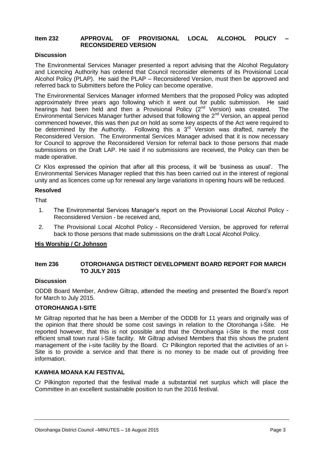#### **Item 232 APPROVAL OF PROVISIONAL LOCAL ALCOHOL POLICY – RECONSIDERED VERSION**

#### **Discussion**

The Environmental Services Manager presented a report advising that the Alcohol Regulatory and Licencing Authority has ordered that Council reconsider elements of its Provisional Local Alcohol Policy (PLAP). He said the PLAP – Reconsidered Version, must then be approved and referred back to Submitters before the Policy can become operative.

The Environmental Services Manager informed Members that the proposed Policy was adopted approximately three years ago following which it went out for public submission. He said<br>hearings had been held and then a Provisional Policy (2<sup>nd</sup> Version) was created. The hearings had been held and then a Provisional Policy (2<sup>nd</sup> Version) was created. Environmental Services Manager further advised that following the  $2^{nd}$  Version, an appeal period commenced however, this was then put on hold as some key aspects of the Act were required to be determined by the Authority. Following this a  $3<sup>rd</sup>$  Version was drafted, namely the Reconsidered Version. The Environmental Services Manager advised that it is now necessary for Council to approve the Reconsidered Version for referral back to those persons that made submissions on the Draft LAP. He said if no submissions are received, the Policy can then be made operative.

Cr Klos expressed the opinion that after all this process, it will be 'business as usual'. The Environmental Services Manager replied that this has been carried out in the interest of regional unity and as licences come up for renewal any large variations in opening hours will be reduced.

#### **Resolved**

That

- 1. The Environmental Services Manager's report on the Provisional Local Alcohol Policy Reconsidered Version - be received and,
- 2. The Provisional Local Alcohol Policy Reconsidered Version, be approved for referral back to those persons that made submissions on the draft Local Alcohol Policy.

#### **His Worship / Cr Johnson**

#### **Item 236 OTOROHANGA DISTRICT DEVELOPMENT BOARD REPORT FOR MARCH TO JULY 2015**

#### **Discussion**

ODDB Board Member, Andrew Giltrap, attended the meeting and presented the Board's report for March to July 2015.

#### **OTOROHANGA I-SITE**

Mr Giltrap reported that he has been a Member of the ODDB for 11 years and originally was of the opinion that there should be some cost savings in relation to the Otorohanga i-Site. He reported however, that this is not possible and that the Otorohanga i-Site is the most cost efficient small town rural i-Site facility. Mr Giltrap advised Members that this shows the prudent management of the i-site facility by the Board. Cr Pilkington reported that the activities of an i-Site is to provide a service and that there is no money to be made out of providing free information.

#### **KAWHIA MOANA KAI FESTIVAL**

Cr Pilkington reported that the festival made a substantial net surplus which will place the Committee in an excellent sustainable position to run the 2016 festival.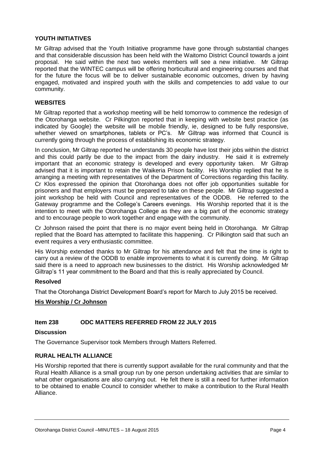#### **YOUTH INITIATIVES**

Mr Giltrap advised that the Youth Initiative programme have gone through substantial changes and that considerable discussion has been held with the Waitomo District Council towards a joint proposal. He said within the next two weeks members will see a new initiative. Mr Giltrap reported that the WINTEC campus will be offering horticultural and engineering courses and that for the future the focus will be to deliver sustainable economic outcomes, driven by having engaged, motivated and inspired youth with the skills and competencies to add value to our community.

#### **WEBSITES**

Mr Giltrap reported that a workshop meeting will be held tomorrow to commence the redesign of the Otorohanga website. Cr Pilkington reported that in keeping with website best practice (as indicated by Google) the website will be mobile friendly, ie, designed to be fully responsive, whether viewed on smartphones, tablets or PC's. Mr Giltrap was informed that Council is currently going through the process of establishing its economic strategy.

In conclusion, Mr Giltrap reported he understands 30 people have lost their jobs within the district and this could partly be due to the impact from the dairy industry. He said it is extremely important that an economic strategy is developed and every opportunity taken. Mr Giltrap advised that it is important to retain the Waikeria Prison facility. His Worship replied that he is arranging a meeting with representatives of the Department of Corrections regarding this facility. Cr Klos expressed the opinion that Otorohanga does not offer job opportunities suitable for prisoners and that employers must be prepared to take on these people. Mr Giltrap suggested a joint workshop be held with Council and representatives of the ODDB. He referred to the Gateway programme and the College's Careers evenings. His Worship reported that it is the intention to meet with the Otorohanga College as they are a big part of the economic strategy and to encourage people to work together and engage with the community.

Cr Johnson raised the point that there is no major event being held in Otorohanga. Mr Giltrap replied that the Board has attempted to facilitate this happening. Cr Pilkington said that such an event requires a very enthusiastic committee.

His Worship extended thanks to Mr Giltrap for his attendance and felt that the time is right to carry out a review of the ODDB to enable improvements to what it is currently doing. Mr Giltrap said there is a need to approach new businesses to the district. His Worship acknowledged Mr Giltrap's 11 year commitment to the Board and that this is really appreciated by Council.

#### **Resolved**

That the Otorohanga District Development Board's report for March to July 2015 be received.

#### **His Worship / Cr Johnson**

#### **Item 238 ODC MATTERS REFERRED FROM 22 JULY 2015**

#### **Discussion**

The Governance Supervisor took Members through Matters Referred.

#### **RURAL HEALTH ALLIANCE**

His Worship reported that there is currently support available for the rural community and that the Rural Health Alliance is a small group run by one person undertaking activities that are similar to what other organisations are also carrying out. He felt there is still a need for further information to be obtained to enable Council to consider whether to make a contribution to the Rural Health Alliance.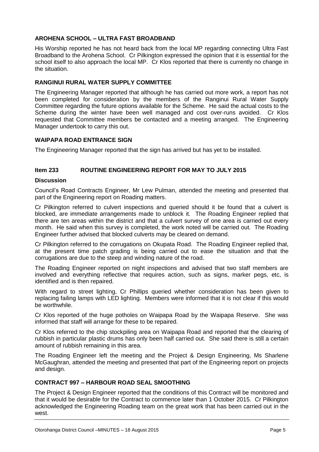#### **AROHENA SCHOOL – ULTRA FAST BROADBAND**

His Worship reported he has not heard back from the local MP regarding connecting Ultra Fast Broadband to the Arohena School. Cr Pilkington expressed the opinion that it is essential for the school itself to also approach the local MP. Cr Klos reported that there is currently no change in the situation.

#### **RANGINUI RURAL WATER SUPPLY COMMITTEE**

The Engineering Manager reported that although he has carried out more work, a report has not been completed for consideration by the members of the Ranginui Rural Water Supply Committee regarding the future options available for the Scheme. He said the actual costs to the Scheme during the winter have been well managed and cost over-runs avoided. Cr Klos requested that Committee members be contacted and a meeting arranged. The Engineering Manager undertook to carry this out.

#### **WAIPAPA ROAD ENTRANCE SIGN**

The Engineering Manager reported that the sign has arrived but has yet to be installed.

#### **Item 233 ROUTINE ENGINEERING REPORT FOR MAY TO JULY 2015**

#### **Discussion**

Council's Road Contracts Engineer, Mr Lew Pulman, attended the meeting and presented that part of the Engineering report on Roading matters.

Cr Pilkington referred to culvert inspections and queried should it be found that a culvert is blocked, are immediate arrangements made to unblock it. The Roading Engineer replied that there are ten areas within the district and that a culvert survey of one area is carried out every month. He said when this survey is completed, the work noted will be carried out. The Roading Engineer further advised that blocked culverts may be cleared on demand.

Cr Pilkington referred to the corrugations on Okupata Road. The Roading Engineer replied that, at the present time patch grading is being carried out to ease the situation and that the corrugations are due to the steep and winding nature of the road.

The Roading Engineer reported on night inspections and advised that two staff members are involved and everything reflective that requires action, such as signs, marker pegs, etc, is identified and is then repaired.

With regard to street lighting, Cr Phillips queried whether consideration has been given to replacing failing lamps with LED lighting. Members were informed that it is not clear if this would be worthwhile.

Cr Klos reported of the huge potholes on Waipapa Road by the Waipapa Reserve. She was informed that staff will arrange for these to be repaired.

Cr Klos referred to the chip stockpiling area on Waipapa Road and reported that the clearing of rubbish in particular plastic drums has only been half carried out. She said there is still a certain amount of rubbish remaining in this area.

The Roading Engineer left the meeting and the Project & Design Engineering, Ms Sharlene McGaughran, attended the meeting and presented that part of the Engineering report on projects and design.

#### **CONTRACT 997 – HARBOUR ROAD SEAL SMOOTHING**

The Project & Design Engineer reported that the conditions of this Contract will be monitored and that it would be desirable for the Contract to commence later than 1 October 2015. Cr Pilkington acknowledged the Engineering Roading team on the great work that has been carried out in the west.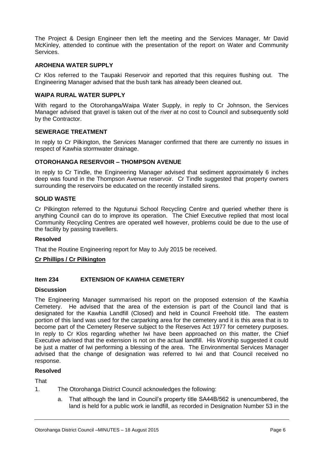The Project & Design Engineer then left the meeting and the Services Manager, Mr David McKinley, attended to continue with the presentation of the report on Water and Community Services.

#### **AROHENA WATER SUPPLY**

Cr Klos referred to the Taupaki Reservoir and reported that this requires flushing out. The Engineering Manager advised that the bush tank has already been cleaned out.

#### **WAIPA RURAL WATER SUPPLY**

With regard to the Otorohanga/Waipa Water Supply, in reply to Cr Johnson, the Services Manager advised that gravel is taken out of the river at no cost to Council and subsequently sold by the Contractor.

#### **SEWERAGE TREATMENT**

In reply to Cr Pilkington, the Services Manager confirmed that there are currently no issues in respect of Kawhia stormwater drainage.

#### **OTOROHANGA RESERVOIR – THOMPSON AVENUE**

In reply to Cr Tindle, the Engineering Manager advised that sediment approximately 6 inches deep was found in the Thompson Avenue reservoir. Cr Tindle suggested that property owners surrounding the reservoirs be educated on the recently installed sirens.

#### **SOLID WASTE**

Cr Pilkington referred to the Ngutunui School Recycling Centre and queried whether there is anything Council can do to improve its operation. The Chief Executive replied that most local Community Recycling Centres are operated well however, problems could be due to the use of the facility by passing travellers.

#### **Resolved**

That the Routine Engineering report for May to July 2015 be received.

#### **Cr Phillips / Cr Pilkington**

#### **Item 234 EXTENSION OF KAWHIA CEMETERY**

#### **Discussion**

The Engineering Manager summarised his report on the proposed extension of the Kawhia Cemetery. He advised that the area of the extension is part of the Council land that is designated for the Kawhia Landfill (Closed) and held in Council Freehold title. The eastern portion of this land was used for the carparking area for the cemetery and it is this area that is to become part of the Cemetery Reserve subject to the Reserves Act 1977 for cemetery purposes. In reply to Cr Klos regarding whether Iwi have been approached on this matter, the Chief Executive advised that the extension is not on the actual landfill. His Worship suggested it could be just a matter of Iwi performing a blessing of the area. The Environmental Services Manager advised that the change of designation was referred to Iwi and that Council received no response.

#### **Resolved**

That

- 1. The Otorohanga District Council acknowledges the following:
	- a. That although the land in Council's property title SA44B/562 is unencumbered, the land is held for a public work ie landfill, as recorded in Designation Number 53 in the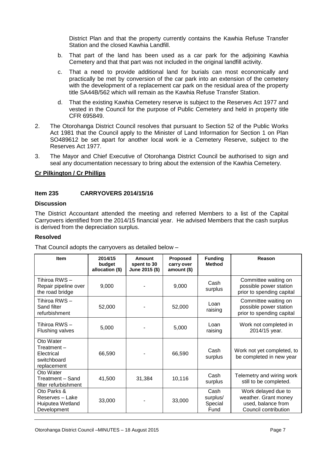District Plan and that the property currently contains the Kawhia Refuse Transfer Station and the closed Kawhia Landfill.

- b. That part of the land has been used as a car park for the adjoining Kawhia Cemetery and that that part was not included in the original landfill activity.
- c. That a need to provide additional land for burials can most economically and practically be met by conversion of the car park into an extension of the cemetery with the development of a replacement car park on the residual area of the property title SA44B/562 which will remain as the Kawhia Refuse Transfer Station.
- d. That the existing Kawhia Cemetery reserve is subject to the Reserves Act 1977 and vested in the Council for the purpose of Public Cemetery and held in property title CFR 695849.
- 2. The Otorohanga District Council resolves that pursuant to Section 52 of the Public Works Act 1981 that the Council apply to the Minister of Land Information for Section 1 on Plan SO489612 be set apart for another local work ie a Cemetery Reserve, subject to the Reserves Act 1977.
- 3. The Mayor and Chief Executive of Otorohanga District Council be authorised to sign and seal any documentation necessary to bring about the extension of the Kawhia Cemetery.

#### **Cr Pilkington / Cr Phillips**

#### **Item 235 CARRYOVERS 2014/15/16**

#### **Discussion**

The District Accountant attended the meeting and referred Members to a list of the Capital Carryovers identified from the 2014/15 financial year. He advised Members that the cash surplus is derived from the depreciation surplus.

#### **Resolved**

That Council adopts the carryovers as detailed below –

| <b>Item</b>                                                         | 2014/15<br>budget<br>allocation (\$) | Amount<br>spent to 30<br>June 2015 (\$) | <b>Proposed</b><br>carry over<br>amount() | <b>Funding</b><br><b>Method</b>     | Reason                                                                                    |
|---------------------------------------------------------------------|--------------------------------------|-----------------------------------------|-------------------------------------------|-------------------------------------|-------------------------------------------------------------------------------------------|
| Tihiroa RWS-<br>Repair pipeline over<br>the road bridge             | 9,000                                |                                         | 9,000                                     | Cash<br>surplus                     | Committee waiting on<br>possible power station<br>prior to spending capital               |
| Tihiroa RWS-<br>Sand filter<br>refurbishment                        | 52,000                               |                                         | 52,000                                    | Loan<br>raising                     | Committee waiting on<br>possible power station<br>prior to spending capital               |
| Tihiroa RWS-<br><b>Flushing valves</b>                              | 5,000                                |                                         | 5,000                                     | Loan<br>raising                     | Work not completed in<br>2014/15 year.                                                    |
| Oto Water<br>Treatment-<br>Electrical<br>switchboard<br>replacement | 66,590                               |                                         | 66,590                                    | Cash<br>surplus                     | Work not yet completed, to<br>be completed in new year                                    |
| Oto Water<br>Treatment - Sand<br>filter refurbishment               | 41,500                               | 31,384                                  | 10,116                                    | Cash<br>surplus                     | Telemetry and wiring work<br>still to be completed.                                       |
| Oto Parks &<br>Reserves - Lake<br>Huiputea Wetland<br>Development   | 33,000                               |                                         | 33,000                                    | Cash<br>surplus/<br>Special<br>Fund | Work delayed due to<br>weather. Grant money<br>used, balance from<br>Council contribution |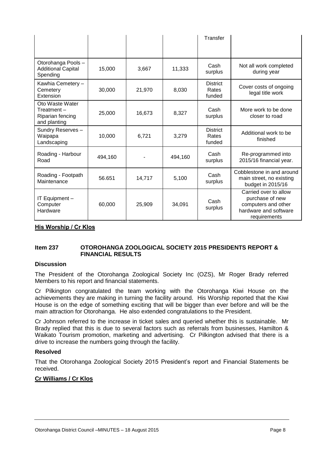|                                                                   |         |        |         | Transfer                           |                                                                                                          |
|-------------------------------------------------------------------|---------|--------|---------|------------------------------------|----------------------------------------------------------------------------------------------------------|
|                                                                   |         |        |         |                                    |                                                                                                          |
| Otorohanga Pools-<br><b>Additional Capital</b><br>Spending        | 15,000  | 3,667  | 11,333  | Cash<br>surplus                    | Not all work completed<br>during year                                                                    |
| Kawhia Cemetery -<br>Cemetery<br>Extension                        | 30,000  | 21,970 | 8,030   | <b>District</b><br>Rates<br>funded | Cover costs of ongoing<br>legal title work                                                               |
| Oto Waste Water<br>Treatment-<br>Riparian fencing<br>and planting | 25,000  | 16,673 | 8,327   | Cash<br>surplus                    | More work to be done<br>closer to road                                                                   |
| Sundry Reserves-<br>Waipapa<br>Landscaping                        | 10,000  | 6,721  | 3,279   | <b>District</b><br>Rates<br>funded | Additional work to be<br>finished                                                                        |
| Roading - Harbour<br>Road                                         | 494,160 |        | 494,160 | Cash<br>surplus                    | Re-programmed into<br>2015/16 financial year.                                                            |
| Roading - Footpath<br>Maintenance                                 | 56.651  | 14,717 | 5,100   | Cash<br>surplus                    | Cobblestone in and around<br>main street, no existing<br>budget in 2015/16                               |
| IT Equipment -<br>Computer<br>Hardware                            | 60,000  | 25,909 | 34,091  | Cash<br>surplus                    | Carried over to allow<br>purchase of new<br>computers and other<br>hardware and software<br>requirements |

**His Worship / Cr Klos**

#### **Item 237 OTOROHANGA ZOOLOGICAL SOCIETY 2015 PRESIDENTS REPORT & FINANCIAL RESULTS**

#### **Discussion**

The President of the Otorohanga Zoological Society Inc (OZS), Mr Roger Brady referred Members to his report and financial statements.

Cr Pilkington congratulated the team working with the Otorohanga Kiwi House on the achievements they are making in turning the facility around. His Worship reported that the Kiwi House is on the edge of something exciting that will be bigger than ever before and will be the main attraction for Otorohanga. He also extended congratulations to the President.

Cr Johnson referred to the increase in ticket sales and queried whether this is sustainable. Mr Brady replied that this is due to several factors such as referrals from businesses, Hamilton & Waikato Tourism promotion, marketing and advertising. Cr Pilkington advised that there is a drive to increase the numbers going through the facility.

#### **Resolved**

That the Otorohanga Zoological Society 2015 President's report and Financial Statements be received.

#### **Cr Williams / Cr Klos**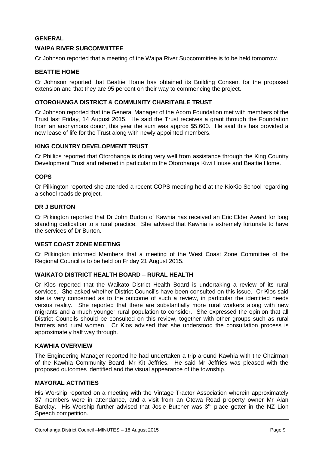#### **GENERAL**

#### **WAIPA RIVER SUBCOMMITTEE**

Cr Johnson reported that a meeting of the Waipa River Subcommittee is to be held tomorrow.

#### **BEATTIE HOME**

Cr Johnson reported that Beattie Home has obtained its Building Consent for the proposed extension and that they are 95 percent on their way to commencing the project.

#### **OTOROHANGA DISTRICT & COMMUNITY CHARITABLE TRUST**

Cr Johnson reported that the General Manager of the Acorn Foundation met with members of the Trust last Friday, 14 August 2015. He said the Trust receives a grant through the Foundation from an anonymous donor, this year the sum was approx \$5,600. He said this has provided a new lease of life for the Trust along with newly appointed members.

#### **KING COUNTRY DEVELOPMENT TRUST**

Cr Phillips reported that Otorohanga is doing very well from assistance through the King Country Development Trust and referred in particular to the Otorohanga Kiwi House and Beattie Home.

#### **COPS**

Cr Pilkington reported she attended a recent COPS meeting held at the KioKio School regarding a school roadside project.

#### **DR J BURTON**

Cr Pilkington reported that Dr John Burton of Kawhia has received an Eric Elder Award for long standing dedication to a rural practice. She advised that Kawhia is extremely fortunate to have the services of Dr Burton.

#### **WEST COAST ZONE MEETING**

Cr Pilkington informed Members that a meeting of the West Coast Zone Committee of the Regional Council is to be held on Friday 21 August 2015.

#### **WAIKATO DISTRICT HEALTH BOARD – RURAL HEALTH**

Cr Klos reported that the Waikato District Health Board is undertaking a review of its rural services. She asked whether District Council's have been consulted on this issue. Cr Klos said she is very concerned as to the outcome of such a review, in particular the identified needs versus reality. She reported that there are substantially more rural workers along with new migrants and a much younger rural population to consider. She expressed the opinion that all District Councils should be consulted on this review, together with other groups such as rural farmers and rural women. Cr Klos advised that she understood the consultation process is approximately half way through.

#### **KAWHIA OVERVIEW**

The Engineering Manager reported he had undertaken a trip around Kawhia with the Chairman of the Kawhia Community Board, Mr Kit Jeffries. He said Mr Jeffries was pleased with the proposed outcomes identified and the visual appearance of the township.

#### **MAYORAL ACTIVITIES**

His Worship reported on a meeting with the Vintage Tractor Association wherein approximately 37 members were in attendance, and a visit from an Otewa Road property owner Mr Alan Barclay. His Worship further advised that Josie Butcher was  $3<sup>rd</sup>$  place getter in the NZ Lion Speech competition.